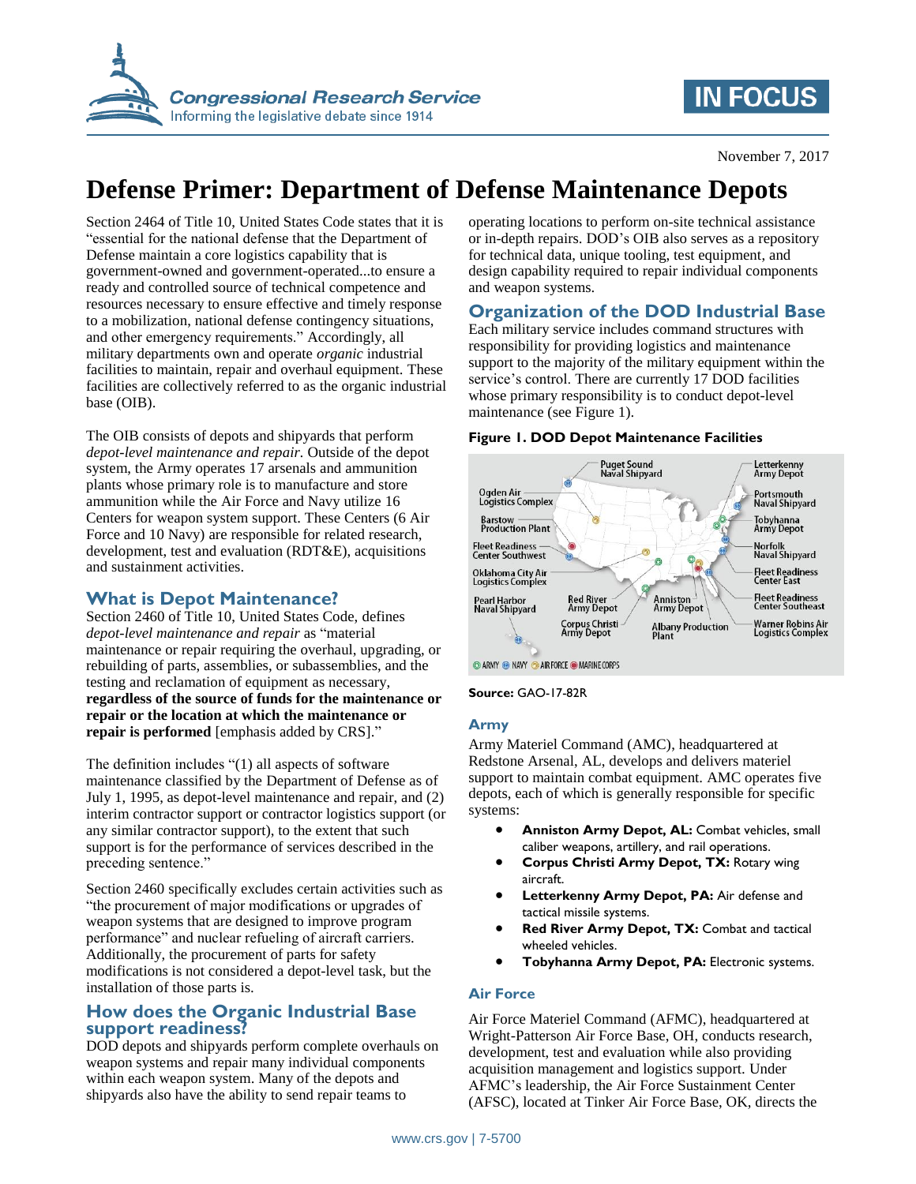

## **IN FOCUS**

# **Defense Primer: Department of Defense Maintenance Depots**

Section 2464 of Title 10, United States Code states that it is "essential for the national defense that the Department of Defense maintain a core logistics capability that is government-owned and government-operated...to ensure a ready and controlled source of technical competence and resources necessary to ensure effective and timely response to a mobilization, national defense contingency situations, and other emergency requirements." Accordingly, all military departments own and operate *organic* industrial facilities to maintain, repair and overhaul equipment. These facilities are collectively referred to as the organic industrial base (OIB).

The OIB consists of depots and shipyards that perform *depot-level maintenance and repair.* Outside of the depot system, the Army operates 17 arsenals and ammunition plants whose primary role is to manufacture and store ammunition while the Air Force and Navy utilize 16 Centers for weapon system support. These Centers (6 Air Force and 10 Navy) are responsible for related research, development, test and evaluation (RDT&E), acquisitions and sustainment activities.

### **What is Depot Maintenance?**

Section 2460 of Title 10, United States Code, defines *depot-level maintenance and repair* as "material maintenance or repair requiring the overhaul, upgrading, or rebuilding of parts, assemblies, or subassemblies, and the testing and reclamation of equipment as necessary, **regardless of the source of funds for the maintenance or repair or the location at which the maintenance or repair is performed** [emphasis added by CRS]."

The definition includes "(1) all aspects of software maintenance classified by the Department of Defense as of July 1, 1995, as depot-level maintenance and repair, and (2) interim contractor support or contractor logistics support (or any similar contractor support), to the extent that such support is for the performance of services described in the preceding sentence."

Section 2460 specifically excludes certain activities such as "the procurement of major modifications or upgrades of weapon systems that are designed to improve program performance" and nuclear refueling of aircraft carriers. Additionally, the procurement of parts for safety modifications is not considered a depot-level task, but the installation of those parts is.

#### **How does the Organic Industrial Base support readiness?**

DOD depots and shipyards perform complete overhauls on weapon systems and repair many individual components within each weapon system. Many of the depots and shipyards also have the ability to send repair teams to

operating locations to perform on-site technical assistance or in-depth repairs. DOD's OIB also serves as a repository for technical data, unique tooling, test equipment, and design capability required to repair individual components and weapon systems.

### **Organization of the DOD Industrial Base**

Each military service includes command structures with responsibility for providing logistics and maintenance support to the majority of the military equipment within the service's control. There are currently 17 DOD facilities whose primary responsibility is to conduct depot-level maintenance (see Figure 1).

**Figure 1. DOD Depot Maintenance Facilities**

#### Puget Sound<br>Naval Shipyard Letterkenny<br>Army Depot Ogden Air<br>Logistics Complex Portsmouth<br>Naval Shipyard **Barstow**<br>**Production Plant** Tobyhanna<br>Army Depot Fleet Readiness —<br>Center Southwest Norfolk<br>Naval Shipyard Fleet Readiness<br>Center East Oklahoma City Air<br>Logistics Complex Fleet Readiness<br>Center Southeast Pearl Harbor<br>Naval Shipyard Red River<br>Army Depot Anniston<sup>1</sup><br>Army Depot Corpus Christi<br>Army Depot Warner Robins Air<br>Logistics Complex Albany Production<br>Plant ARMY ONAVY O AIR FORCE O MARINE CORPS

#### **Source:** GAO-17-82R

#### **Army**

Army Materiel Command (AMC), headquartered at Redstone Arsenal, AL, develops and delivers materiel support to maintain combat equipment. AMC operates five depots, each of which is generally responsible for specific systems:

- **Anniston Army Depot, AL:** Combat vehicles, small caliber weapons, artillery, and rail operations.
- **Corpus Christi Army Depot, TX:** Rotary wing aircraft.
- **Letterkenny Army Depot, PA:** Air defense and tactical missile systems.
- **Red River Army Depot, TX:** Combat and tactical wheeled vehicles.
- **Tobyhanna Army Depot, PA:** Electronic systems.

#### **Air Force**

Air Force Materiel Command (AFMC), headquartered at Wright-Patterson Air Force Base, OH, conducts research, development, test and evaluation while also providing acquisition management and logistics support. Under AFMC's leadership, the Air Force Sustainment Center (AFSC), located at Tinker Air Force Base, OK, directs the